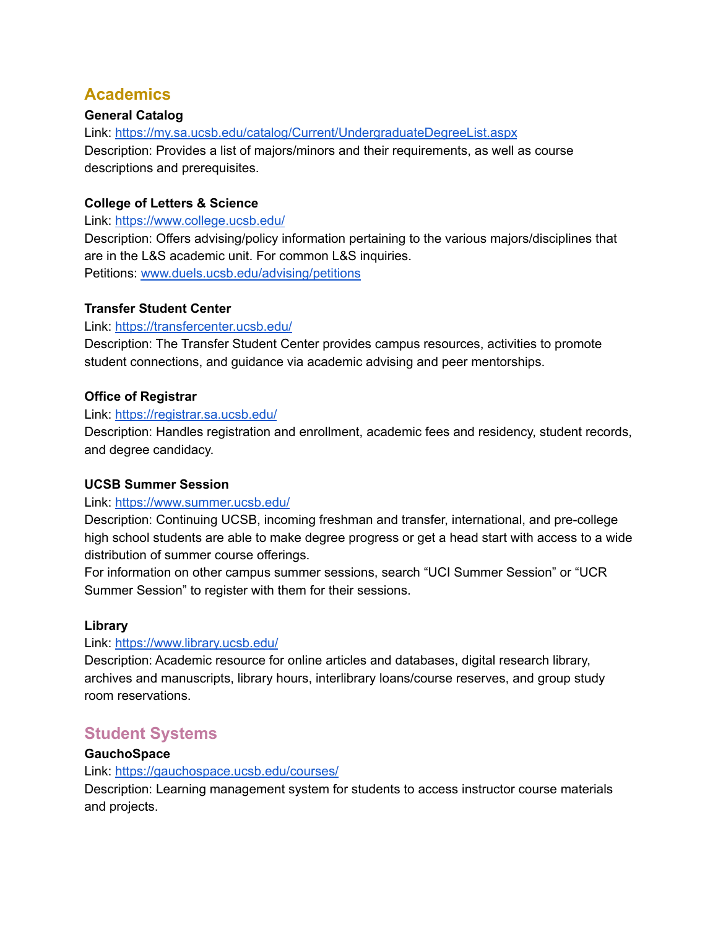# **Academics**

## **General Catalog**

Link: <https://my.sa.ucsb.edu/catalog/Current/UndergraduateDegreeList.aspx> Description: Provides a list of majors/minors and their requirements, as well as course descriptions and prerequisites.

## **College of Letters & Science**

Link: <https://www.college.ucsb.edu/>

Description: Offers advising/policy information pertaining to the various majors/disciplines that are in the L&S academic unit. For common L&S inquiries. Petitions: [www.duels.ucsb.edu/advising/petitions](https://www.duels.ucsb.edu/advising/petitions)

#### **Transfer Student Center**

#### Link: <https://transfercenter.ucsb.edu/>

Description: The Transfer Student Center provides campus resources, activities to promote student connections, and guidance via academic advising and peer mentorships.

#### **Office of Registrar**

#### Link: <https://registrar.sa.ucsb.edu/>

Description: Handles registration and enrollment, academic fees and residency, student records, and degree candidacy.

#### **UCSB Summer Session**

#### Link: <https://www.summer.ucsb.edu/>

Description: Continuing UCSB, incoming freshman and transfer, international, and pre-college high school students are able to make degree progress or get a head start with access to a wide distribution of summer course offerings.

For information on other campus summer sessions, search "UCI Summer Session" or "UCR Summer Session" to register with them for their sessions.

#### **Library**

#### Link: <https://www.library.ucsb.edu/>

Description: Academic resource for online articles and databases, digital research library, archives and manuscripts, library hours, interlibrary loans/course reserves, and group study room reservations.

## **Student Systems**

### **GauchoSpace**

#### Link: <https://gauchospace.ucsb.edu/courses/>

Description: Learning management system for students to access instructor course materials and projects.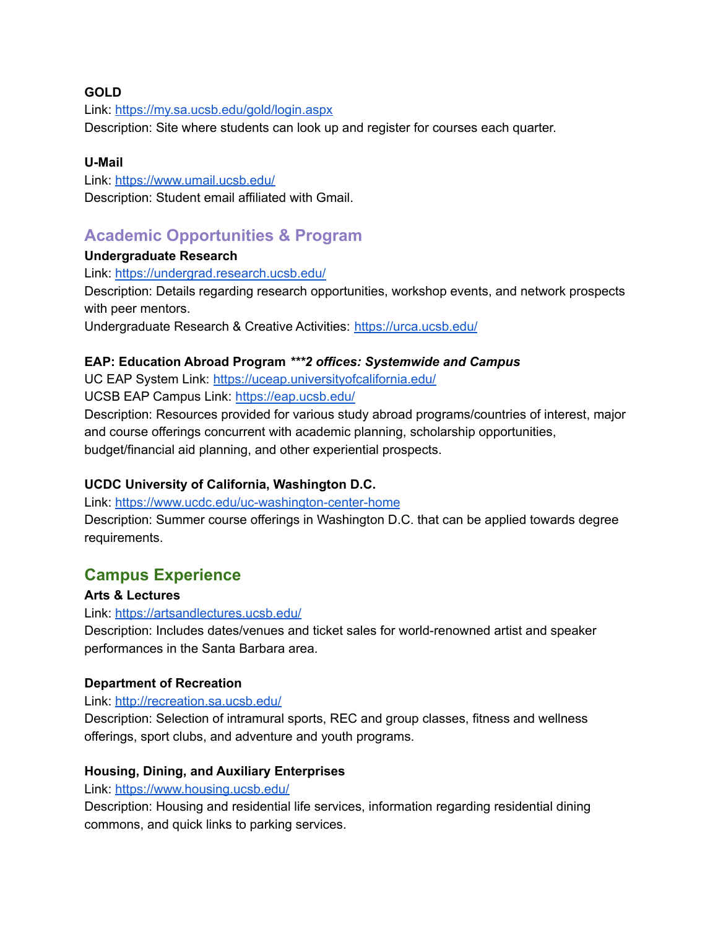## **GOLD**

Link: <https://my.sa.ucsb.edu/gold/login.aspx> Description: Site where students can look up and register for courses each quarter.

## **U-Mail**

Link: <https://www.umail.ucsb.edu/> Description: Student email affiliated with Gmail.

# **Academic Opportunities & Program**

## **Undergraduate Research**

Link: <https://undergrad.research.ucsb.edu/>

Description: Details regarding research opportunities, workshop events, and network prospects with peer mentors.

Undergraduate Research & Creative Activities: <https://urca.ucsb.edu/>

## **EAP: Education Abroad Program** *\*\*\*2 offices: Systemwide and Campus*

UC EAP System Link: <https://uceap.universityofcalifornia.edu/> UCSB EAP Campus Link: <https://eap.ucsb.edu/> Description: Resources provided for various study abroad programs/countries of interest, major

and course offerings concurrent with academic planning, scholarship opportunities, budget/financial aid planning, and other experiential prospects.

## **UCDC University of California, Washington D.C.**

Link: <https://www.ucdc.edu/uc-washington-center-home>

Description: Summer course offerings in Washington D.C. that can be applied towards degree requirements.

# **Campus Experience**

## **Arts & Lectures**

Link: <https://artsandlectures.ucsb.edu/>

Description: Includes dates/venues and ticket sales for world-renowned artist and speaker performances in the Santa Barbara area.

#### **Department of Recreation**

Link: <http://recreation.sa.ucsb.edu/>

Description: Selection of intramural sports, REC and group classes, fitness and wellness offerings, sport clubs, and adventure and youth programs.

#### **Housing, Dining, and Auxiliary Enterprises**

Link: <https://www.housing.ucsb.edu/>

Description: Housing and residential life services, information regarding residential dining commons, and quick links to parking services.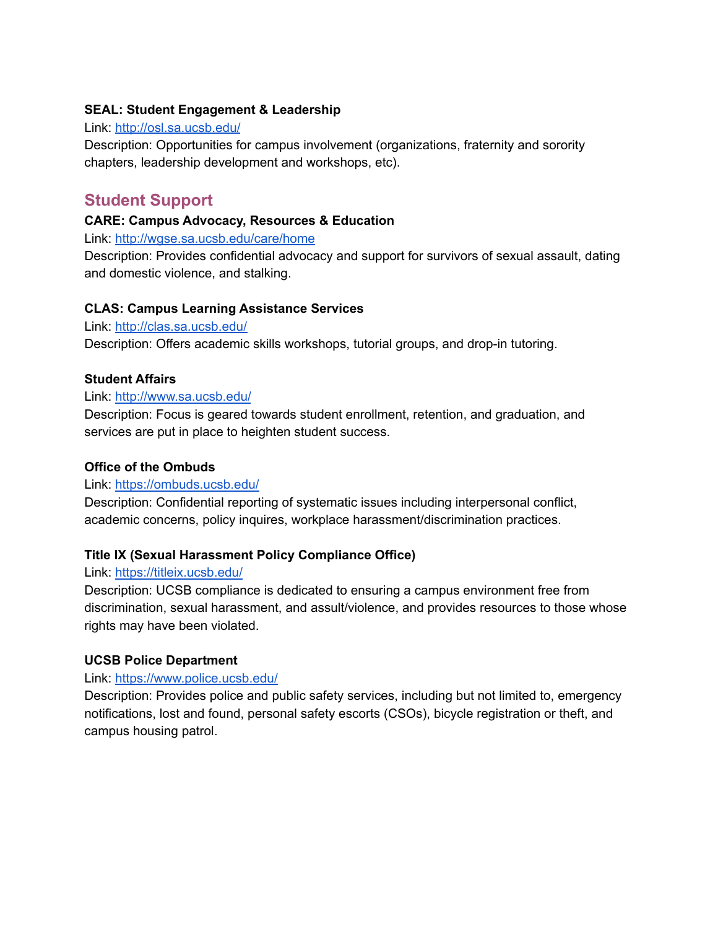## **SEAL: Student Engagement & Leadership**

### Link: <http://osl.sa.ucsb.edu/>

Description: Opportunities for campus involvement (organizations, fraternity and sorority chapters, leadership development and workshops, etc).

## **Student Support**

## **CARE: Campus Advocacy, Resources & Education**

Link: <http://wgse.sa.ucsb.edu/care/home>

Description: Provides confidential advocacy and support for survivors of sexual assault, dating and domestic violence, and stalking.

## **CLAS: Campus Learning Assistance Services**

Link: <http://clas.sa.ucsb.edu/>

Description: Offers academic skills workshops, tutorial groups, and drop-in tutoring.

## **Student Affairs**

#### Link: <http://www.sa.ucsb.edu/>

Description: Focus is geared towards student enrollment, retention, and graduation, and services are put in place to heighten student success.

### **Office of the Ombuds**

#### Link: <https://ombuds.ucsb.edu/>

Description: Confidential reporting of systematic issues including interpersonal conflict, academic concerns, policy inquires, workplace harassment/discrimination practices.

## **Title IX (Sexual Harassment Policy Compliance Office)**

#### Link: <https://titleix.ucsb.edu/>

Description: UCSB compliance is dedicated to ensuring a campus environment free from discrimination, sexual harassment, and assult/violence, and provides resources to those whose rights may have been violated.

## **UCSB Police Department**

#### Link: <https://www.police.ucsb.edu/>

Description: Provides police and public safety services, including but not limited to, emergency notifications, lost and found, personal safety escorts (CSOs), bicycle registration or theft, and campus housing patrol.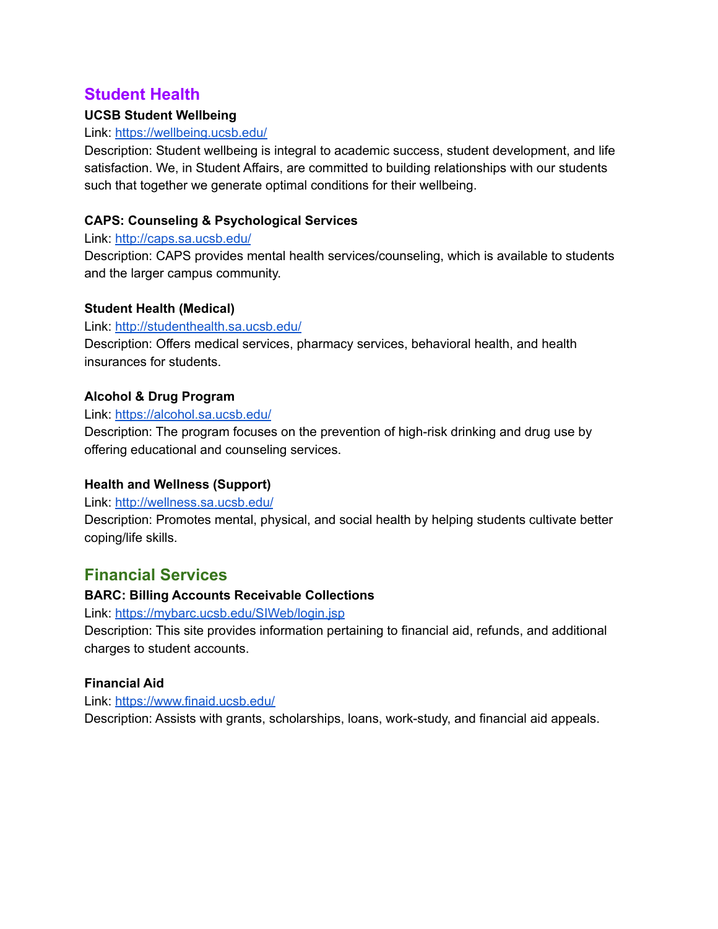## **Student Health**

## **UCSB Student Wellbeing**

#### Link: <https://wellbeing.ucsb.edu/>

Description: Student wellbeing is integral to academic success, student development, and life satisfaction. We, in Student Affairs, are committed to building relationships with our students such that together we generate optimal conditions for their wellbeing.

## **CAPS: Counseling & Psychological Services**

#### Link: <http://caps.sa.ucsb.edu/>

Description: CAPS provides mental health services/counseling, which is available to students and the larger campus community.

#### **Student Health (Medical)**

#### Link: <http://studenthealth.sa.ucsb.edu/>

Description: Offers medical services, pharmacy services, behavioral health, and health insurances for students.

## **Alcohol & Drug Program**

#### Link: <https://alcohol.sa.ucsb.edu/>

Description: The program focuses on the prevention of high-risk drinking and drug use by offering educational and counseling services.

#### **Health and Wellness (Support)**

#### Link: <http://wellness.sa.ucsb.edu/>

Description: Promotes mental, physical, and social health by helping students cultivate better coping/life skills.

# **Financial Services**

#### **BARC: Billing Accounts Receivable Collections**

Link: <https://mybarc.ucsb.edu/SIWeb/login.jsp>

Description: This site provides information pertaining to financial aid, refunds, and additional charges to student accounts.

#### **Financial Aid**

Link: <https://www.finaid.ucsb.edu/>

Description: Assists with grants, scholarships, loans, work-study, and financial aid appeals.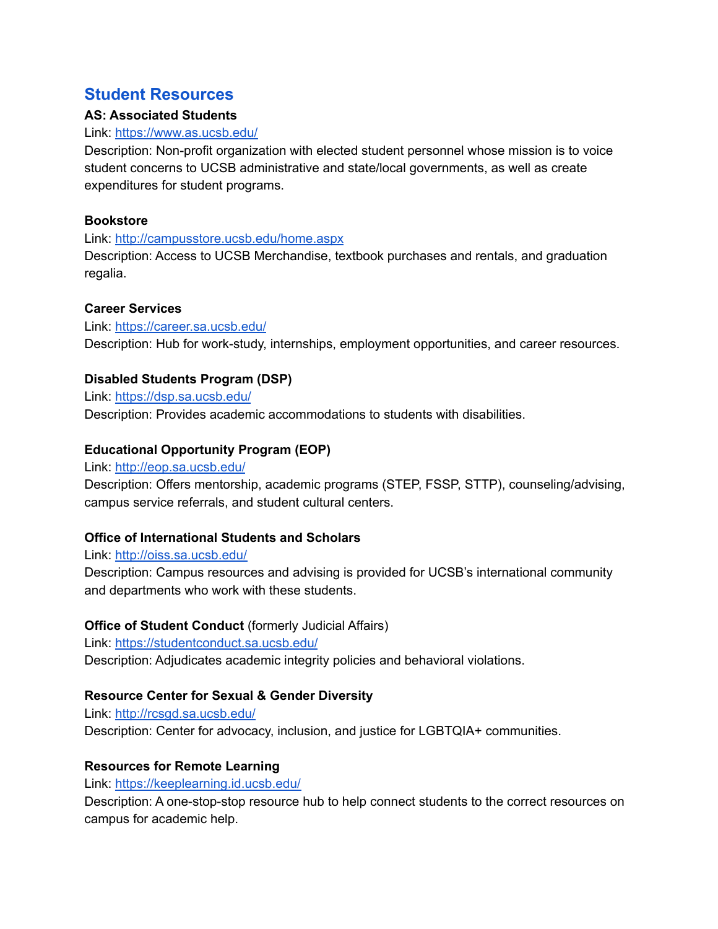## **Student Resources**

## **AS: Associated Students**

### Link: <https://www.as.ucsb.edu/>

Description: Non-profit organization with elected student personnel whose mission is to voice student concerns to UCSB administrative and state/local governments, as well as create expenditures for student programs.

## **Bookstore**

Link: <http://campusstore.ucsb.edu/home.aspx>

Description: Access to UCSB Merchandise, textbook purchases and rentals, and graduation regalia.

## **Career Services**

Link: <https://career.sa.ucsb.edu/> Description: Hub for work-study, internships, employment opportunities, and career resources.

## **Disabled Students Program (DSP)**

Link: <https://dsp.sa.ucsb.edu/> Description: Provides academic accommodations to students with disabilities.

## **Educational Opportunity Program (EOP)**

Link: <http://eop.sa.ucsb.edu/>

Description: Offers mentorship, academic programs (STEP, FSSP, STTP), counseling/advising, campus service referrals, and student cultural centers.

## **Office of International Students and Scholars**

Link: <http://oiss.sa.ucsb.edu/>

Description: Campus resources and advising is provided for UCSB's international community and departments who work with these students.

## **Office of Student Conduct** (formerly Judicial Affairs)

Link: <https://studentconduct.sa.ucsb.edu/> Description: Adjudicates academic integrity policies and behavioral violations.

## **Resource Center for Sexual & Gender Diversity**

Link: <http://rcsgd.sa.ucsb.edu/> Description: Center for advocacy, inclusion, and justice for LGBTQIA+ communities.

#### **Resources for Remote Learning**

Link: <https://keeplearning.id.ucsb.edu/>

Description: A one-stop-stop resource hub to help connect students to the correct resources on campus for academic help.